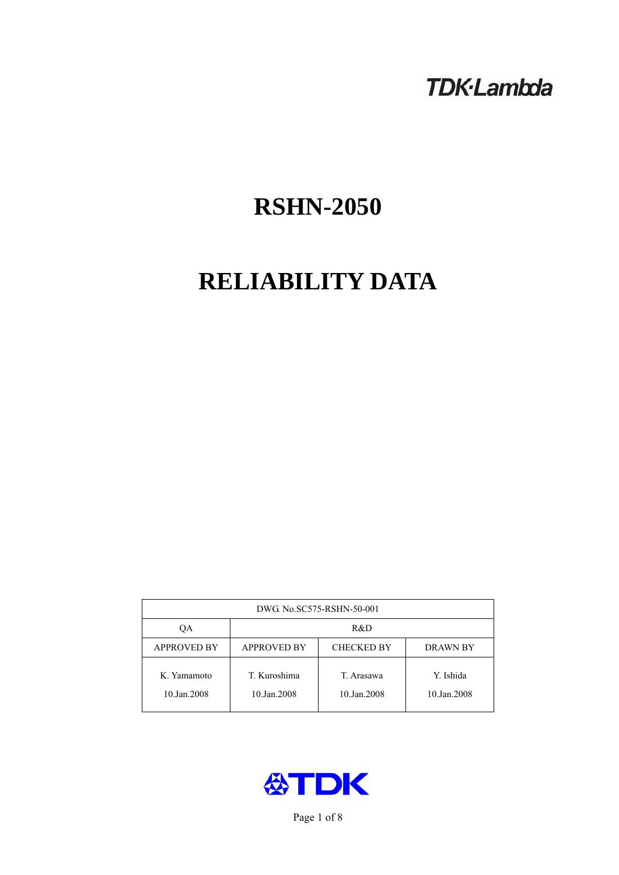# **TDK-Lambda**

# **RSHN-2050**

# **RELIABILITY DATA**

| DWG No.SC575-RSHN-50-001   |                                                            |                           |                          |  |  |
|----------------------------|------------------------------------------------------------|---------------------------|--------------------------|--|--|
| ОA                         | R&D                                                        |                           |                          |  |  |
| <b>APPROVED BY</b>         | <b>APPROVED BY</b><br><b>CHECKED BY</b><br><b>DRAWN BY</b> |                           |                          |  |  |
| K. Yamamoto<br>10.Jan.2008 | T. Kuroshima<br>10.Jan.2008                                | T. Arasawa<br>10.Jan.2008 | Y. Ishida<br>10.Jan.2008 |  |  |



Page 1 of 8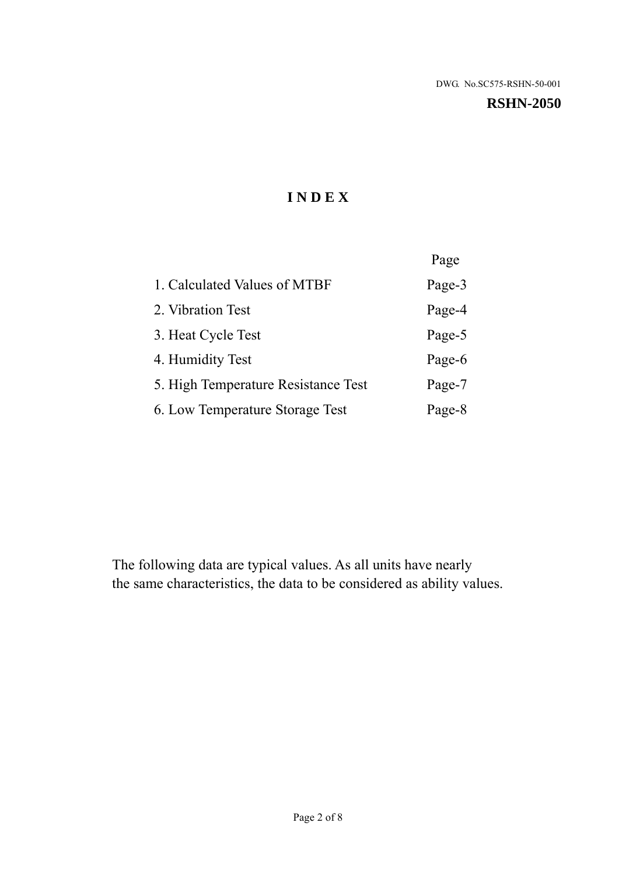#### **RSHN-2050**

# **I N D E X**

|                                     | Page   |
|-------------------------------------|--------|
| 1. Calculated Values of MTBF        | Page-3 |
| 2. Vibration Test                   | Page-4 |
| 3. Heat Cycle Test                  | Page-5 |
| 4. Humidity Test                    | Page-6 |
| 5. High Temperature Resistance Test | Page-7 |
| 6. Low Temperature Storage Test     | Page-8 |

The following data are typical values. As all units have nearly the same characteristics, the data to be considered as ability values.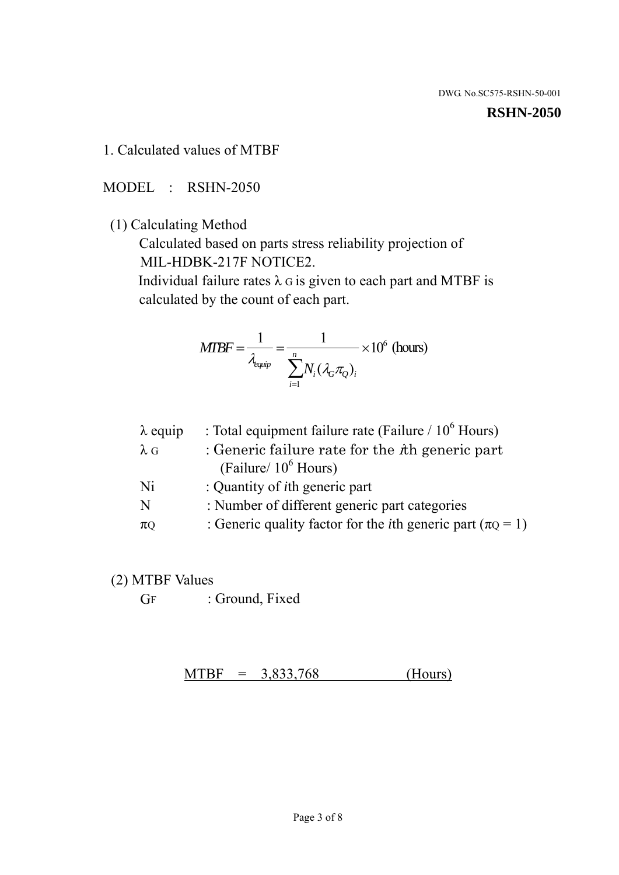#### **RSHN-2050**

1. Calculated values of MTBF

MODEL : RSHN-2050

(1) Calculating Method

 Calculated based on parts stress reliability projection of MIL-HDBK-217F NOTICE2.

Individual failure rates  $\lambda$  G is given to each part and MTBF is calculated by the count of each part.

$$
MTBF = \frac{1}{\lambda_{\text{equip}}} = \frac{1}{\sum_{i=1}^{n} N_i (\lambda_G \pi_Q)_i} \times 10^6 \text{ (hours)}
$$

| $\lambda$ equip | : Total equipment failure rate (Failure $/ 10^6$ Hours)                   |
|-----------------|---------------------------------------------------------------------------|
| $\lambda$ G     | : Generic failure rate for the $\hbar$ generic part                       |
|                 | (Failure/ $10^6$ Hours)                                                   |
| Ni              | : Quantity of <i>i</i> th generic part                                    |
| N               | : Number of different generic part categories                             |
| $\pi$ Q         | : Generic quality factor for the <i>i</i> th generic part ( $\pi Q = 1$ ) |

- (2) MTBF Values
	- GF : Ground, Fixed

 $MTBF = 3,833,768$  (Hours)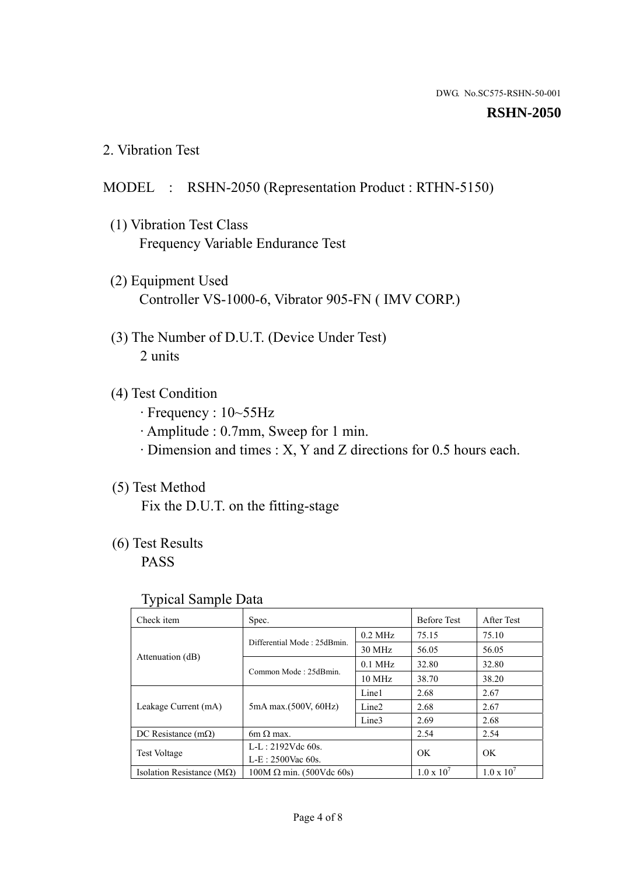#### **RSHN-2050**

2. Vibration Test

# MODEL : RSHN-2050 (Representation Product : RTHN-5150)

- (1) Vibration Test Class Frequency Variable Endurance Test
- (2) Equipment Used Controller VS-1000-6, Vibrator 905-FN ( IMV CORP.)
- (3) The Number of D.U.T. (Device Under Test) 2 units
- (4) Test Condition
	- · Frequency : 10~55Hz
	- · Amplitude : 0.7mm, Sweep for 1 min.
	- · Dimension and times : X, Y and Z directions for 0.5 hours each.

# (5) Test Method

Fix the D.U.T. on the fitting-stage

# (6) Test Results

PASS

#### Typical Sample Data

| Check item                         | Spec.                           |                   | <b>Before Test</b>  | After Test          |
|------------------------------------|---------------------------------|-------------------|---------------------|---------------------|
|                                    | Differential Mode: 25dBmin.     | $0.2$ MHz         | 75.15               | 75.10               |
|                                    |                                 | 30 MHz            | 56.05               | 56.05               |
| Attenuation (dB)                   | Common Mode: 25dBmin.           | $0.1$ MHz         | 32.80               | 32.80               |
|                                    |                                 | 10 MHz            | 38.70               | 38.20               |
| Leakage Current (mA)               | 5mA max.(500V, 60Hz)            | Line1             | 2.68                | 2.67                |
|                                    |                                 | Line <sub>2</sub> | 2.68                | 2.67                |
|                                    |                                 | Line3             | 2.69                | 2.68                |
| DC Resistance $(m\Omega)$          | 6m $\Omega$ max.                |                   | 2.54                | 2.54                |
| <b>Test Voltage</b>                | $L-L: 2192Vdc$ 60s.             |                   | OK                  | OK                  |
|                                    | $L-E$ : 2500Vac 60s.            |                   |                     |                     |
| Isolation Resistance ( $M\Omega$ ) | $100M \Omega$ min. (500Vdc 60s) |                   | $1.0 \times 10^{7}$ | $1.0 \times 10^{7}$ |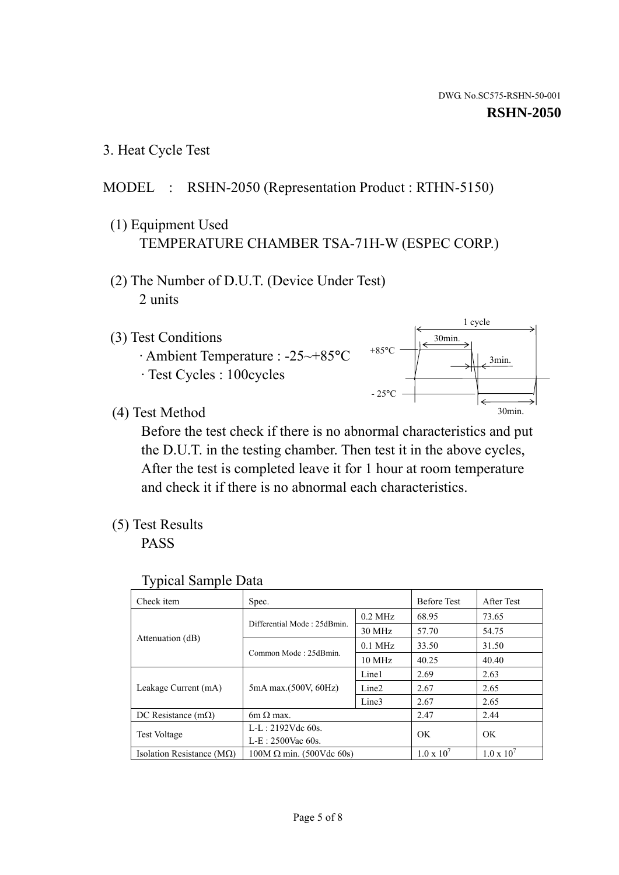1 cycle

30min.

3min.

30min.

3. Heat Cycle Test

# MODEL : RSHN-2050 (Representation Product : RTHN-5150)

- (1) Equipment Used TEMPERATURE CHAMBER TSA-71H-W (ESPEC CORP.)
- (2) The Number of D.U.T. (Device Under Test) 2 units
- (3) Test Conditions
	- · Ambient Temperature : -25~+85°C · Test Cycles : 100cycles
- (4) Test Method

 Before the test check if there is no abnormal characteristics and put the D.U.T. in the testing chamber. Then test it in the above cycles, After the test is completed leave it for 1 hour at room temperature and check it if there is no abnormal each characteristics.

+85°C

 $-25^{\circ}$ C

(5) Test Results

PASS

| <b>Typical Sample Data</b> |  |
|----------------------------|--|
|                            |  |

| Check item                         | Spec.                           |                   | <b>Before Test</b>  | After Test          |
|------------------------------------|---------------------------------|-------------------|---------------------|---------------------|
|                                    |                                 | $0.2$ MHz         | 68.95               | 73.65               |
|                                    | Differential Mode: 25dBmin.     | 30 MHz            | 57.70               | 54.75               |
| Attenuation (dB)                   | Common Mode: 25dBmin.           | $0.1$ MHz         | 33.50               | 31.50               |
|                                    |                                 | $10$ MHz          | 40.25               | 40.40               |
| Leakage Current (mA)               | 5mA max.(500V, 60Hz)            | Line1             | 2.69                | 2.63                |
|                                    |                                 | Line <sub>2</sub> | 2.67                | 2.65                |
|                                    |                                 | Line3             | 2.67                | 2.65                |
| DC Resistance $(m\Omega)$          | 6m $\Omega$ max.                |                   | 2.47                | 2.44                |
| Test Voltage                       | $L-L: 2192Vdc$ 60s.             |                   | OK.                 | OK                  |
|                                    | $L-E: 2500$ Vac 60s.            |                   |                     |                     |
| Isolation Resistance ( $M\Omega$ ) | $100M \Omega$ min. (500Vdc 60s) |                   | $1.0 \times 10^{7}$ | $1.0 \times 10^{7}$ |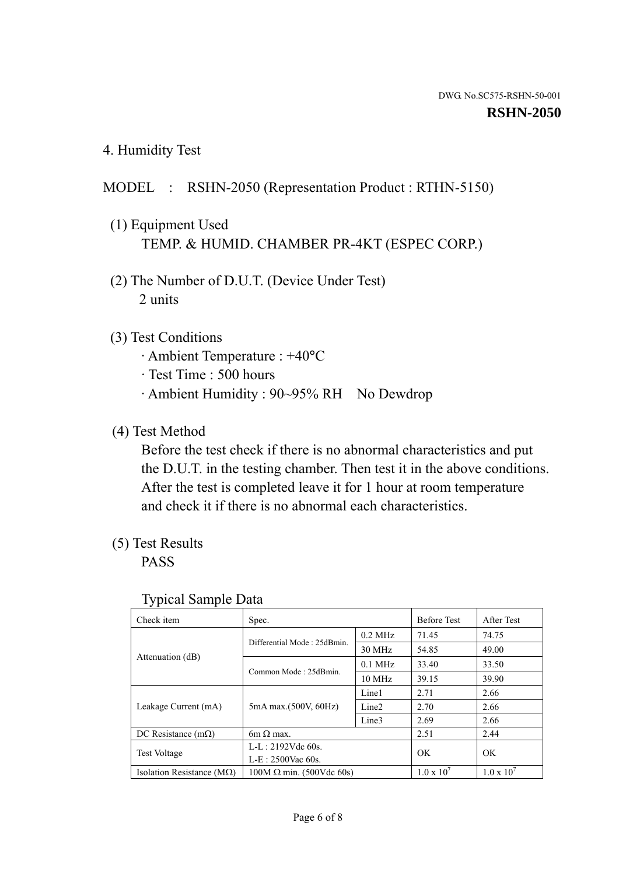4. Humidity Test

# MODEL : RSHN-2050 (Representation Product : RTHN-5150)

- (1) Equipment Used TEMP. & HUMID. CHAMBER PR-4KT (ESPEC CORP.)
- (2) The Number of D.U.T. (Device Under Test) 2 units

### (3) Test Conditions

- · Ambient Temperature : +40°C
- · Test Time : 500 hours
- · Ambient Humidity : 90~95% RH No Dewdrop

# (4) Test Method

 Before the test check if there is no abnormal characteristics and put the D.U.T. in the testing chamber. Then test it in the above conditions. After the test is completed leave it for 1 hour at room temperature and check it if there is no abnormal each characteristics.

## (5) Test Results

PASS

| ັ່<br>Check item                   | Spec.                       |                   | <b>Before Test</b>  | After Test          |
|------------------------------------|-----------------------------|-------------------|---------------------|---------------------|
|                                    | Differential Mode: 25dBmin. | $0.2$ MHz         | 71.45               | 74.75               |
|                                    |                             | 30 MHz            | 54.85               | 49.00               |
| Attenuation (dB)                   | Common Mode: 25dBmin.       | $0.1$ MHz         | 33.40               | 33.50               |
|                                    |                             | $10 \text{ MHz}$  | 39.15               | 39.90               |
|                                    | 5mA max.(500V, 60Hz)        | Line1             | 2.71                | 2.66                |
| Leakage Current (mA)               |                             | Line <sub>2</sub> | 2.70                | 2.66                |
|                                    |                             | Line3             | 2.69                | 2.66                |
| DC Resistance $(m\Omega)$          | $6m \Omega$ max.            |                   | 2.51                | 2.44                |
| Test Voltage                       | $L-L: 2192Vdc$ 60s.         |                   | OK                  | OK.                 |
|                                    | $L-E: 2500$ Vac 60s.        |                   |                     |                     |
| Isolation Resistance ( $M\Omega$ ) | $100M$ Ω min. (500Vdc 60s)  |                   | $1.0 \times 10^{7}$ | $1.0 \times 10^{7}$ |

#### Typical Sample Data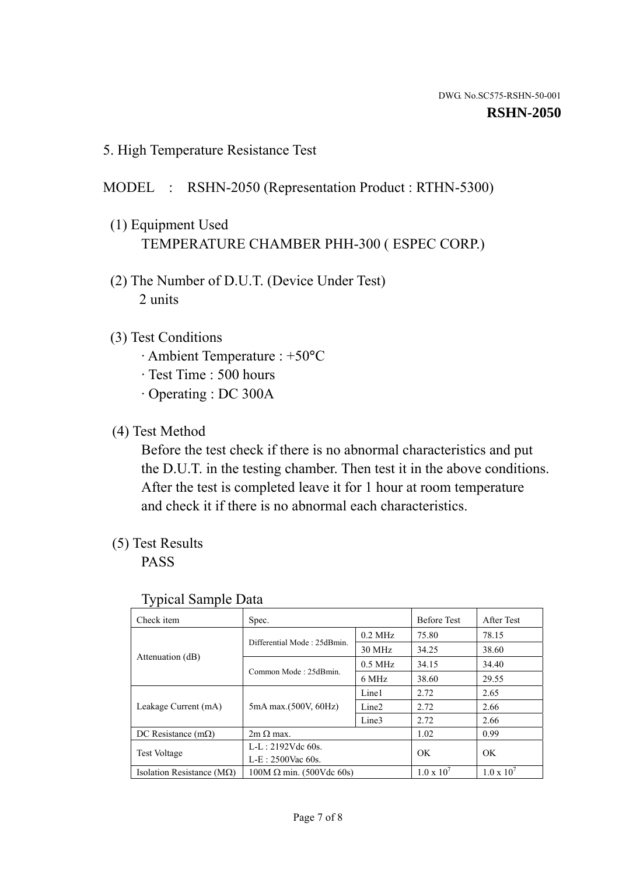5. High Temperature Resistance Test

### MODEL : RSHN-2050 (Representation Product : RTHN-5300)

- (1) Equipment Used TEMPERATURE CHAMBER PHH-300 ( ESPEC CORP.)
- (2) The Number of D.U.T. (Device Under Test) 2 units
- (3) Test Conditions
	- · Ambient Temperature : +50°C
	- · Test Time : 500 hours
	- · Operating : DC 300A
- (4) Test Method

 Before the test check if there is no abnormal characteristics and put the D.U.T. in the testing chamber. Then test it in the above conditions. After the test is completed leave it for 1 hour at room temperature and check it if there is no abnormal each characteristics.

(5) Test Results

PASS

| . .<br>Check item                  | Spec.                           |                   | <b>Before Test</b>  | After Test          |
|------------------------------------|---------------------------------|-------------------|---------------------|---------------------|
|                                    | Differential Mode: 25dBmin.     | $0.2$ MHz         | 75.80               | 78.15               |
|                                    |                                 | 30 MHz            | 34.25               | 38.60               |
| Attenuation (dB)                   | Common Mode: 25dBmin.           | $0.5$ MHz         | 34.15               | 34.40               |
|                                    |                                 | 6 MHz             | 38.60               | 29.55               |
| Leakage Current (mA)               | 5mA max.(500V, 60Hz)            | Line1             | 2.72                | 2.65                |
|                                    |                                 | Line <sub>2</sub> | 2.72                | 2.66                |
|                                    |                                 | Line3             | 2.72                | 2.66                |
| DC Resistance $(m\Omega)$          | $2m \Omega$ max.                |                   | 1.02                | 0.99                |
| <b>Test Voltage</b>                | $L-L: 2192Vdc$ 60s.             |                   | OK                  | OK                  |
|                                    | $L-E: 2500$ Vac 60s.            |                   |                     |                     |
| Isolation Resistance ( $M\Omega$ ) | $100M \Omega$ min. (500Vdc 60s) |                   | $1.0 \times 10^{7}$ | $1.0 \times 10^{7}$ |

#### Typical Sample Data